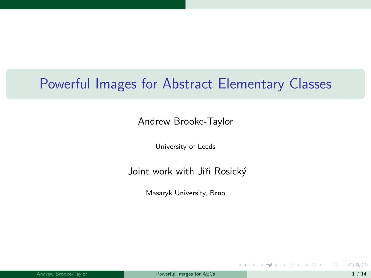## <span id="page-0-0"></span>Powerful Images for Abstract Elementary Classes

#### Andrew Brooke-Taylor

University of Leeds

#### Joint work with Jiři Rosický

Masaryk University, Brno

メロメ メ御 メメ きょうくきょう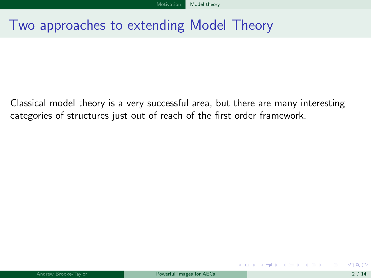## <span id="page-1-0"></span>Two approaches to extending Model Theory

Classical model theory is a very successful area, but there are many interesting categories of structures just out of reach of the first order framework.

イロト イ押 トイヨ トイヨ トー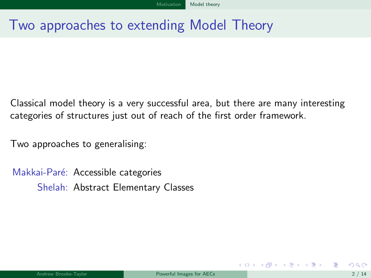## <span id="page-2-0"></span>Two approaches to extending Model Theory

Classical model theory is a very successful area, but there are many interesting categories of structures just out of reach of the first order framework.

Two approaches to generalising:

Makkai-Paré: Accessible categories Shelah: Abstract Elementary Classes

 $\left\{ \begin{array}{ccc} 1 & 0 & 0 \\ 0 & 1 & 0 \end{array} \right.$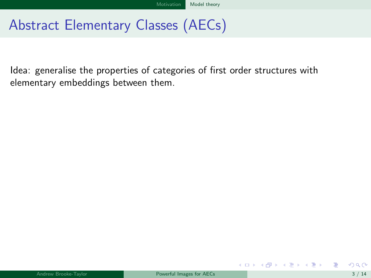<span id="page-3-0"></span>Idea: generalise the properties of categories of first order structures with elementary embeddings between them.

メロメ メ御き メミメ メミメ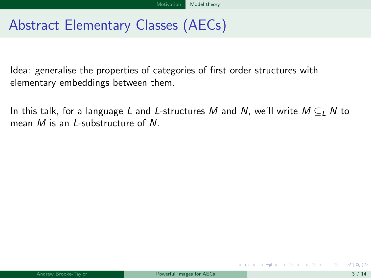<span id="page-4-0"></span>Idea: generalise the properties of categories of first order structures with elementary embeddings between them.

In this talk, for a language L and L-structures M and N, we'll write  $M \subset I$  N to mean M is an *I*-substructure of N.

メロメ メ御き メミメ メミメー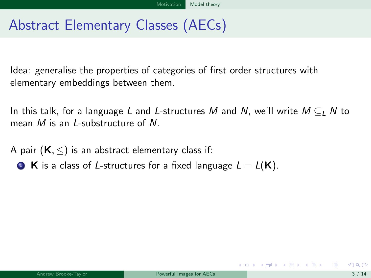<span id="page-5-0"></span>Idea: generalise the properties of categories of first order structures with elementary embeddings between them.

In this talk, for a language L and L-structures M and N, we'll write  $M \subset I$ , N to mean M is an L-substructure of N.

A pair  $(K, \leq)$  is an abstract elementary class if:

**1 K** is a class of *L*-structures for a fixed language  $L = L(K)$ .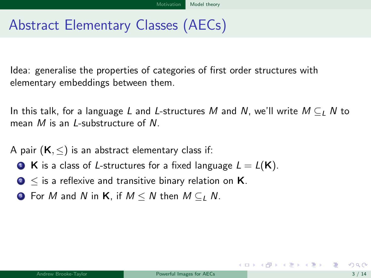<span id="page-6-0"></span>Idea: generalise the properties of categories of first order structures with elementary embeddings between them.

In this talk, for a language L and L-structures M and N, we'll write  $M \subset I$ , N to mean M is an *I*-substructure of N.

A pair  $(K, \leq)$  is an abstract elementary class if:

- **1 K** is a class of *L*-structures for a fixed language  $L = L(K)$ .
- **2**  $\leq$  is a reflexive and transitive binary relation on **K**.
- **3** For M and N in K, if  $M \leq N$  then  $M \subseteq I$ , N.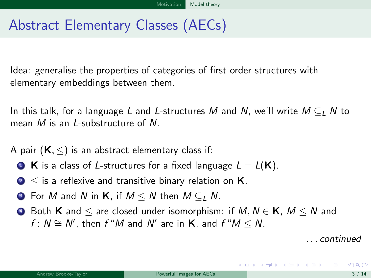<span id="page-7-0"></span>Idea: generalise the properties of categories of first order structures with elementary embeddings between them.

In this talk, for a language L and L-structures M and N, we'll write  $M \subset I$ , N to mean M is an *I*-substructure of N.

A pair  $(K, \leq)$  is an abstract elementary class if:

- **1 K** is a class of *L*-structures for a fixed language  $L = L(K)$ .
- **2**  $\leq$  is a reflexive and transitive binary relation on **K**.
- **3** For M and N in K, if  $M \leq N$  then  $M \subseteq I$  N.
- $\bullet$  Both **K** and  $\le$  are closed under isomorphism: if  $M, N \in \mathbf{K}$ ,  $M \le N$  and  $f: N \cong N'$ , then  $f''M$  and  $N'$  are in  $\mathsf{K}$ , and  $f''M \leq N$ .

. . . continued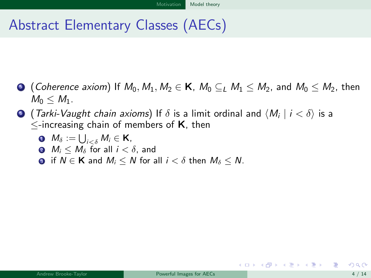- <span id="page-8-0"></span> $\bullet$  (Coherence axiom) If  $M_0, M_1, M_2 \in \mathsf{K}$ ,  $M_0 \subseteq_L M_1 \leq M_2$ , and  $M_0 \leq M_2$ , then  $M_0 \leq M_1$ .
- $\bullet$  (*Tarki-Vaught chain axioms*) If  $\delta$  is a limit ordinal and  $\langle M_i \mid i < \delta \rangle$  is a  $\le$ -increasing chain of members of **K**, then
	- ${\bf M}_\delta:=\bigcup_{i<\delta}M_i\in \mathsf{K},$
	- **2**  $M_i \leq M_\delta$  for all  $i \leq \delta$ , and
	- **a** if  $N \in \mathbf{K}$  and  $M_i \leq N$  for all  $i < \delta$  then  $M_{\delta} \leq N$ .

K ロ ▶ K @ ▶ K 경 ▶ K 경 ▶ ...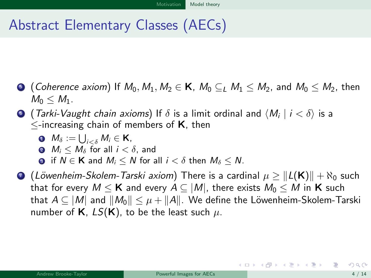- <span id="page-9-0"></span>**•** (Coherence axiom) If  $M_0, M_1, M_2 \in \mathbf{K}$ ,  $M_0 \subset M_1 \subset M_2$ , and  $M_0 \subset M_2$ , then  $M_0 \leq M_1$ .
- $\bullet$  (*Tarki-Vaught chain axioms*) If  $\delta$  is a limit ordinal and  $\langle M_i \mid i < \delta \rangle$  is a  $\le$ -increasing chain of members of **K**, then
	- ${\bf M}_\delta:=\bigcup_{i<\delta}M_i\in \mathsf{K},$
	- **2**  $M_i \leq M_\delta$  for all  $i \leq \delta$ , and
	- **a** if  $N \in \mathbf{K}$  and  $M_i \leq N$  for all  $i < \delta$  then  $M_\delta \leq N$ .
- **●** (Löwenheim-Skolem-Tarski axiom) There is a cardinal  $\mu \geq ||L(K)|| + \aleph_0$  such that for every  $M \leq K$  and every  $A \subseteq |M|$ , there exists  $M_0 \leq M$  in K such that  $A \subseteq |M|$  and  $||M_0|| \leq \mu + ||A||$ . We define the Löwenheim-Skolem-Tarski number of **K**,  $LS(K)$ , to be the least such  $\mu$ .

K ロンス 御 > ス ヨ > ス ヨ > 一 ヨ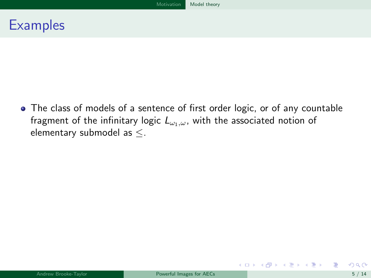### <span id="page-10-0"></span>**Examples**

The class of models of a sentence of first order logic, or of any countable fragment of the infinitary logic  $L_{\omega_1,\omega}$ , with the associated notion of elementary submodel as ≤.

メロメ メ御き メミメ メミメー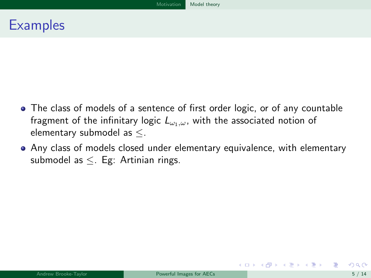### <span id="page-11-0"></span>**Examples**

- The class of models of a sentence of first order logic, or of any countable fragment of the infinitary logic  $L_{\omega_1,\omega}$ , with the associated notion of elementary submodel as ≤.
- Any class of models closed under elementary equivalence, with elementary submodel as ≤. Eg: Artinian rings.

メロメ メ都 メメ 君 メメ 君 メー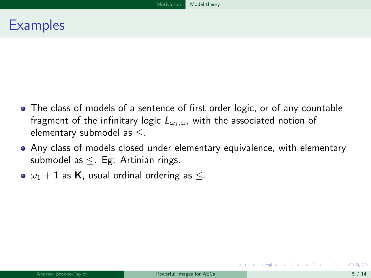### <span id="page-12-0"></span>**Examples**

- The class of models of a sentence of first order logic, or of any countable fragment of the infinitary logic  $L_{\omega_1,\omega}$ , with the associated notion of elementary submodel as ≤.
- Any class of models closed under elementary equivalence, with elementary submodel as ≤. Eg: Artinian rings.
- $\bullet$   $\omega_1 + 1$  as **K**, usual ordinal ordering as  $\leq$ .

イロト イ何 ト イヨ ト イヨ トー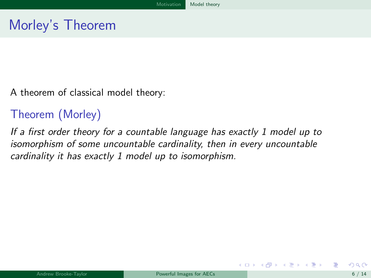<span id="page-13-0"></span>A theorem of classical model theory:

### Theorem (Morley)

If a first order theory for a countable language has exactly 1 model up to isomorphism of some uncountable cardinality, then in every uncountable cardinality it has exactly 1 model up to isomorphism.

メロメ メ都 メメ 君 メメ ヨメ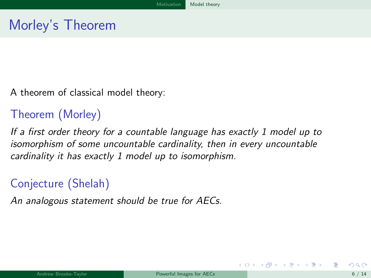<span id="page-14-0"></span>A theorem of classical model theory:

### Theorem (Morley)

If a first order theory for a countable language has exactly 1 model up to isomorphism of some uncountable cardinality, then in every uncountable cardinality it has exactly 1 model up to isomorphism.

## Conjecture (Shelah)

An analogous statement should be true for AECs.

メロト メ御 トメ 君 トメ 君 トー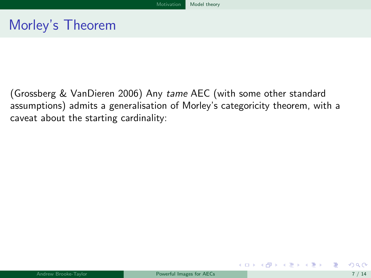<span id="page-15-0"></span>(Grossberg & VanDieren 2006) Any tame AEC (with some other standard assumptions) admits a generalisation of Morley's categoricity theorem, with a caveat about the starting cardinality:

メロト メ御 トメ 君 トメ 君 トー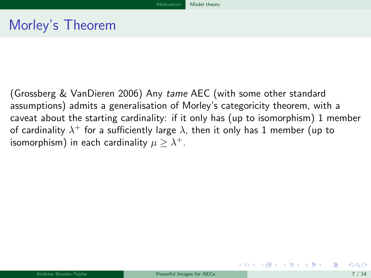<span id="page-16-0"></span>(Grossberg & VanDieren 2006) Any tame AEC (with some other standard assumptions) admits a generalisation of Morley's categoricity theorem, with a caveat about the starting cardinality: if it only has (up to isomorphism) 1 member of cardinality  $\lambda^+$  for a sufficiently large  $\lambda,$  then it only has  $1$  member (up to isomorphism) in each cardinality  $\mu \geq \lambda^+.$ 

イロト イ母 ト イヨ ト イヨ トー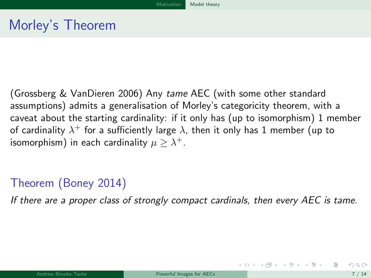<span id="page-17-0"></span>(Grossberg & VanDieren 2006) Any tame AEC (with some other standard assumptions) admits a generalisation of Morley's categoricity theorem, with a caveat about the starting cardinality: if it only has (up to isomorphism) 1 member of cardinality  $\lambda^+$  for a sufficiently large  $\lambda,$  then it only has  $1$  member (up to isomorphism) in each cardinality  $\mu \geq \lambda^+.$ 

### Theorem (Boney 2014)

If there are a proper class of strongly compact cardinals, then every AEC is tame.

メロメ メ部 メメ きょうくきょう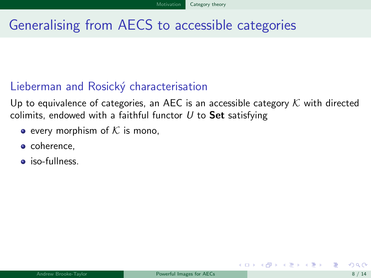## <span id="page-18-0"></span>Generalising from AECS to accessible categories

#### Lieberman and Rosický characterisation

Up to equivalence of categories, an AEC is an accessible category  $K$  with directed colimits, endowed with a faithful functor  $U$  to Set satisfying

- every morphism of  $K$  is mono,
- coherence,
- **•** iso-fullness.

 $\left\{ \begin{array}{ccc} 1 & 0 & 0 \\ 0 & 1 & 0 \end{array} \right.$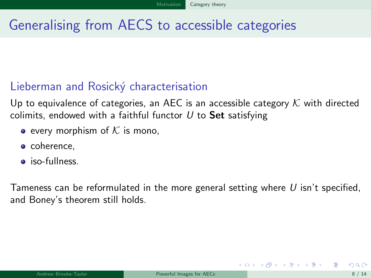## <span id="page-19-0"></span>Generalising from AECS to accessible categories

#### Lieberman and Rosický characterisation

Up to equivalence of categories, an AEC is an accessible category  $K$  with directed colimits, endowed with a faithful functor  $U$  to **Set** satisfying

- every morphism of  $K$  is mono,
- coherence,
- iso-fullness.

Tameness can be reformulated in the more general setting where  $U$  isn't specified, and Boney's theorem still holds.

イロト イ押ト イヨト イヨト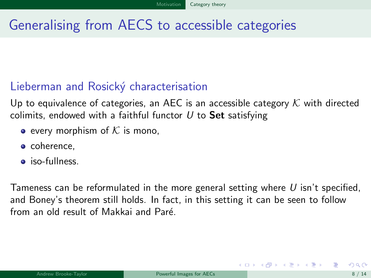## <span id="page-20-0"></span>Generalising from AECS to accessible categories

#### Lieberman and Rosický characterisation

Up to equivalence of categories, an AEC is an accessible category  $K$  with directed colimits, endowed with a faithful functor  $U$  to **Set** satisfying

- every morphism of  $K$  is mono,
- coherence,
- iso-fullness.

Tameness can be reformulated in the more general setting where  $U$  isn't specified, and Boney's theorem still holds. In fact, in this setting it can be seen to follow from an old result of Makkai and Paré.

**K ロ ▶ | K 何 ▶ | K ヨ ▶ | K ヨ ▶ |**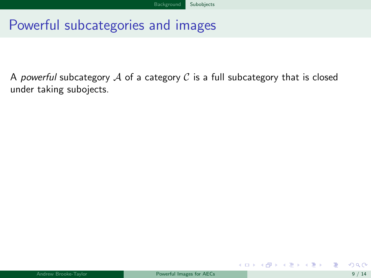## <span id="page-21-0"></span>Powerful subcategories and images

A powerful subcategory  $A$  of a category  $C$  is a full subcategory that is closed under taking subojects.

メロメ メ御き メミメ メミメ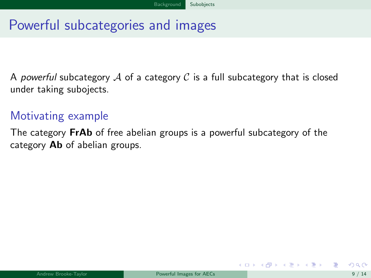## <span id="page-22-0"></span>Powerful subcategories and images

A powerful subcategory A of a category  $\mathcal C$  is a full subcategory that is closed under taking subojects.

#### Motivating example

The category FrAb of free abelian groups is a powerful subcategory of the category **Ab** of abelian groups.

 $\left\{ \begin{array}{ccc} 1 & 0 & 0 \\ 0 & 1 & 0 \end{array} \right.$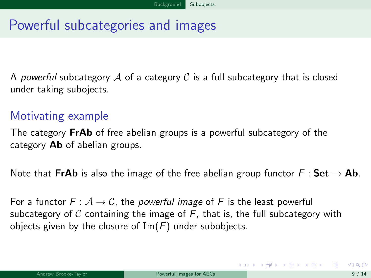# <span id="page-23-0"></span>Powerful subcategories and images

A powerful subcategory A of a category C is a full subcategory that is closed under taking subojects.

### Motivating example

The category **FrAb** of free abelian groups is a powerful subcategory of the category **Ab** of abelian groups.

Note that FrAb is also the image of the free abelian group functor  $F : Set \rightarrow Ab$ .

For a functor  $F : A \rightarrow C$ , the *powerful image* of F is the least powerful subcategory of C containing the image of  $F$ , that is, the full subcategory with objects given by the closure of  $\text{Im}(F)$  under subobjects.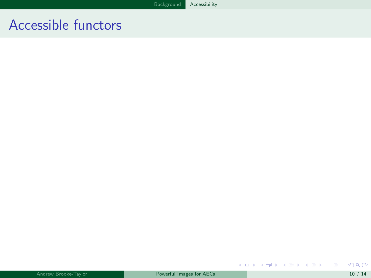重

<span id="page-24-0"></span>メロト メタト メミト メミト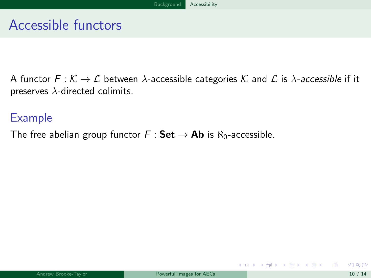<span id="page-25-0"></span>A functor  $F: \mathcal{K} \to \mathcal{L}$  between  $\lambda$ -accessible categories  $\mathcal{K}$  and  $\mathcal{L}$  is  $\lambda$ -accessible if it preserves  $\lambda$ -directed colimits.

#### Example

The free abelian group functor  $F : Set \rightarrow Ab$  is  $\aleph_0$ -accessible.

メロメ メ御き メミメ メミメ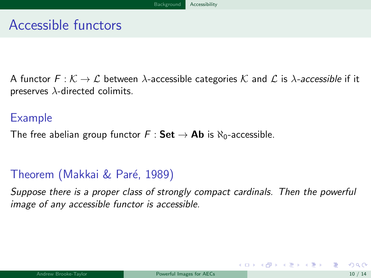<span id="page-26-0"></span>A functor  $F: \mathcal{K} \to \mathcal{L}$  between  $\lambda$ -accessible categories  $\mathcal{K}$  and  $\mathcal{L}$  is  $\lambda$ -accessible if it preserves  $\lambda$ -directed colimits.

#### Example

The free abelian group functor  $F : Set \rightarrow Ab$  is  $\aleph_0$ -accessible.

### Theorem (Makkai & Paré, 1989)

Suppose there is a proper class of strongly compact cardinals. Then the powerful image of any accessible functor is accessible.

メロメ メ御 メメ きょうくきょう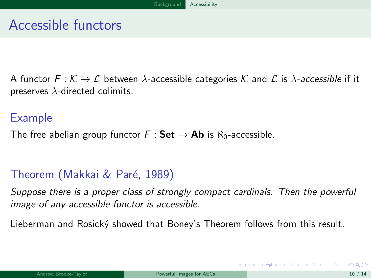<span id="page-27-0"></span>A functor  $F: \mathcal{K} \to \mathcal{L}$  between  $\lambda$ -accessible categories  $\mathcal{K}$  and  $\mathcal{L}$  is  $\lambda$ -accessible if it preserves  $\lambda$ -directed colimits.

#### Example

The free abelian group functor  $F : Set \rightarrow Ab$  is  $\aleph_0$ -accessible.

### Theorem (Makkai & Paré, 1989)

Suppose there is a proper class of strongly compact cardinals. Then the powerful image of any accessible functor is accessible.

Lieberman and Rosický showed that Boney's Theorem follows from this result.

メロメ メ御き メミメ メミメー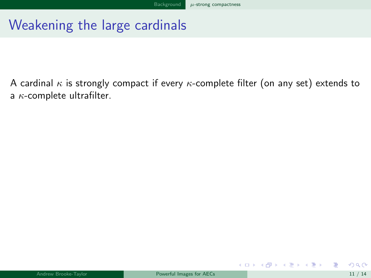<span id="page-28-0"></span>A cardinal  $\kappa$  is strongly compact if every  $\kappa$ -complete filter (on any set) extends to a  $\kappa$ -complete ultrafilter.

メロメ メ御き メミメ メミメ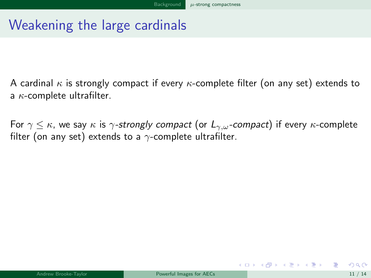<span id="page-29-0"></span>A cardinal  $\kappa$  is strongly compact if every  $\kappa$ -complete filter (on any set) extends to a  $\kappa$ -complete ultrafilter.

For  $\gamma \leq \kappa$ , we say  $\kappa$  is  $\gamma$ -strongly compact (or  $L_{\gamma,\omega}$ -compact) if every  $\kappa$ -complete filter (on any set) extends to a  $\gamma$ -complete ultrafilter.

メロメ メ御き メミメ メミメー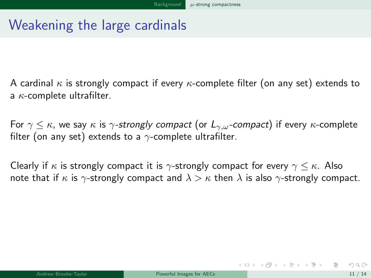<span id="page-30-0"></span>A cardinal  $\kappa$  is strongly compact if every  $\kappa$ -complete filter (on any set) extends to a  $\kappa$ -complete ultrafilter.

For  $\gamma \leq \kappa$ , we say  $\kappa$  is  $\gamma$ -strongly compact (or  $L_{\gamma,\omega}$ -compact) if every  $\kappa$ -complete filter (on any set) extends to a  $\gamma$ -complete ultrafilter.

Clearly if  $\kappa$  is strongly compact it is  $\gamma$ -strongly compact for every  $\gamma \leq \kappa$ . Also note that if  $\kappa$  is  $\gamma$ -strongly compact and  $\lambda > \kappa$  then  $\lambda$  is also  $\gamma$ -strongly compact.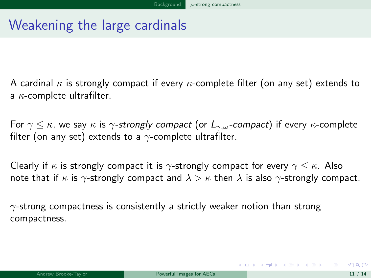<span id="page-31-0"></span>A cardinal  $\kappa$  is strongly compact if every  $\kappa$ -complete filter (on any set) extends to a  $\kappa$ -complete ultrafilter.

For  $\gamma \leq \kappa$ , we say  $\kappa$  is  $\gamma$ -strongly compact (or  $L_{\gamma,\omega}$ -compact) if every  $\kappa$ -complete filter (on any set) extends to a  $\gamma$ -complete ultrafilter.

Clearly if  $\kappa$  is strongly compact it is  $\gamma$ -strongly compact for every  $\gamma \leq \kappa$ . Also note that if  $\kappa$  is  $\gamma$ -strongly compact and  $\lambda > \kappa$  then  $\lambda$  is also  $\gamma$ -strongly compact.

 $\gamma$ -strong compactness is consistently a strictly weaker notion than strong compactness.

K ロ X K @ X K 할 X K 할 X 시 할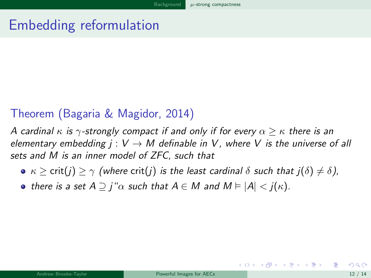### <span id="page-32-0"></span>Embedding reformulation

#### Theorem (Bagaria & Magidor, 2014)

A cardinal  $\kappa$  is  $\gamma$ -strongly compact if and only if for every  $\alpha > \kappa$  there is an elementary embedding  $j: V \rightarrow M$  definable in V, where V is the universe of all sets and M is an inner model of ZFC, such that

- $\kappa > \text{crit}(i) > \gamma$  (where crit(j) is the least cardinal  $\delta$  such that  $i(\delta) \neq \delta$ ),
- there is a set  $A \supseteq i^{\omega} \alpha$  such that  $A \in M$  and  $M \models |A| < i(\kappa)$ .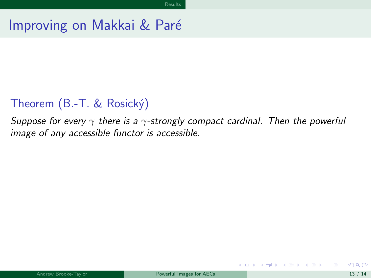### <span id="page-33-0"></span>Improving on Makkai & Paré

### Theorem (B.-T. & Rosický)

Suppose for every  $\gamma$  there is a  $\gamma$ -strongly compact cardinal. Then the powerful image of any accessible functor is accessible.

メロメ メ御 メメ きょうくきょう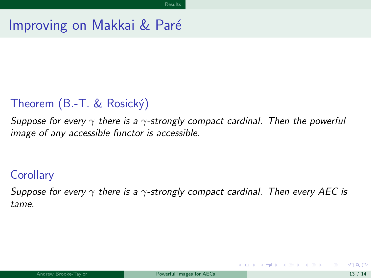### <span id="page-34-0"></span>Improving on Makkai & Paré

### Theorem (B.-T. & Rosický)

Suppose for every  $\gamma$  there is a  $\gamma$ -strongly compact cardinal. Then the powerful image of any accessible functor is accessible.

#### **Corollary**

Suppose for every  $\gamma$  there is a  $\gamma$ -strongly compact cardinal. Then every AEC is tame.

イロト イ押ト イヨト イヨト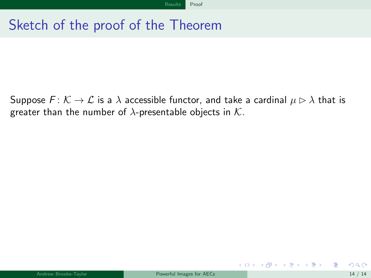<span id="page-35-0"></span>Suppose  $F: \mathcal{K} \to \mathcal{L}$  is a  $\lambda$  accessible functor, and take a cardinal  $\mu \triangleright \lambda$  that is greater than the number of  $\lambda$ -presentable objects in K.

イロト イ押 トイヨ トイヨ トー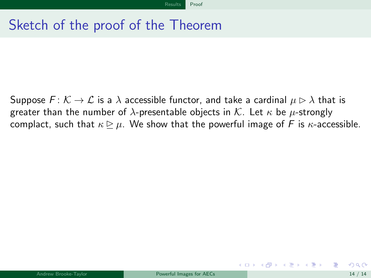<span id="page-36-0"></span>Suppose  $F: \mathcal{K} \to \mathcal{L}$  is a  $\lambda$  accessible functor, and take a cardinal  $\mu \triangleright \lambda$  that is greater than the number of  $\lambda$ -presentable objects in K. Let  $\kappa$  be  $\mu$ -strongly complact, such that  $\kappa \geq \mu$ . We show that the powerful image of F is  $\kappa$ -accessible.

イロト イ押 トイヨ トイヨ トー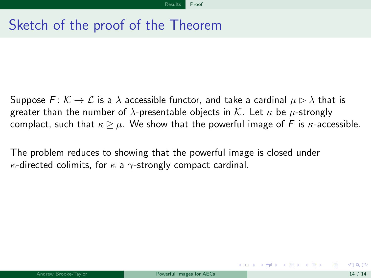<span id="page-37-0"></span>Suppose  $F: \mathcal{K} \to \mathcal{L}$  is a  $\lambda$  accessible functor, and take a cardinal  $\mu \triangleright \lambda$  that is greater than the number of  $\lambda$ -presentable objects in K. Let  $\kappa$  be  $\mu$ -strongly complact, such that  $\kappa \triangleright \mu$ . We show that the powerful image of F is  $\kappa$ -accessible.

The problem reduces to showing that the powerful image is closed under  $\kappa$ -directed colimits, for  $\kappa$  a  $\gamma$ -strongly compact cardinal.

イロト イ押ト イヨト イヨト